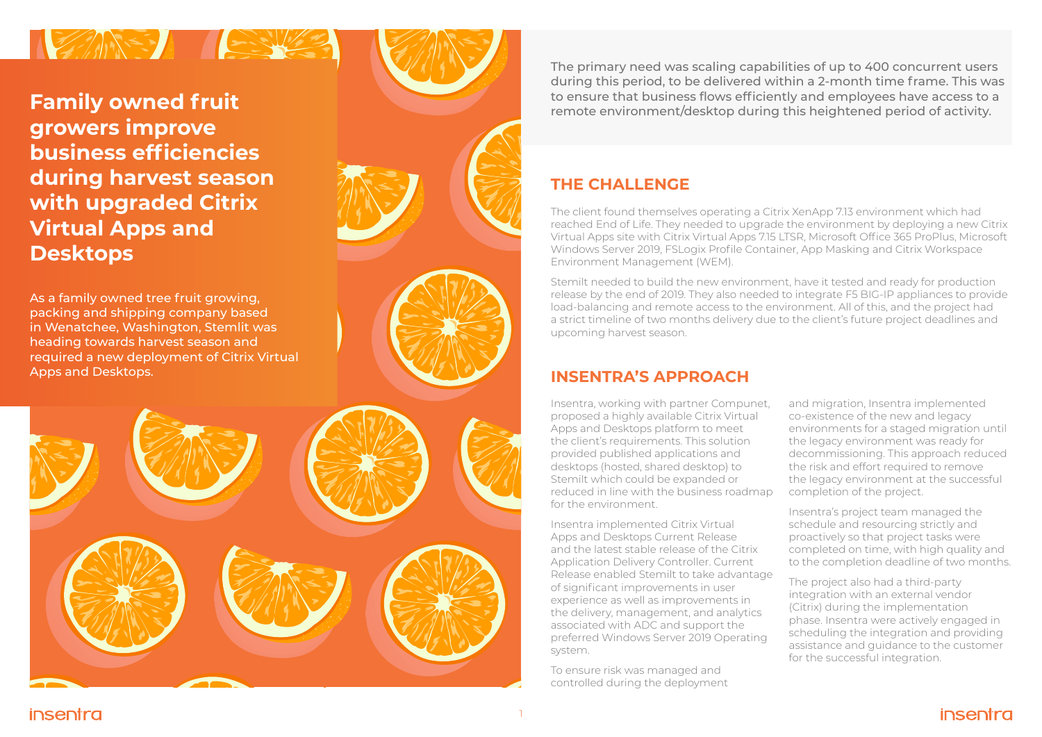# **THE CHALLENGE**

The client found themselves operating a Citrix XenApp 7.13 environment which had reached End of Life. They needed to upgrade the environment by deploying a new Citrix Virtual Apps site with Citrix Virtual Apps 7.15 LTSR, Microsoft Office 365 ProPlus, Microsoft Windows Server 2019, FSLogix Profile Container, App Masking and Citrix Workspace Environment Management (WEM).

Stemilt needed to build the new environment, have it tested and ready for production release by the end of 2019. They also needed to integrate F5 BIG-IP appliances to provide load-balancing and remote access to the environment. All of this, and the project had a strict timeline of two months delivery due to the client's future project deadlines and upcoming harvest season.

A FAMES A SERVE

**Family owned fruit growers improve business efficiencies during harvest season with upgraded Citrix Virtual Apps and Desktops**

The primary need was scaling capabilities of up to 400 concurrent users during this period, to be delivered within a 2-month time frame. This was to ensure that business flows efficiently and employees have access to a remote environment/desktop during this heightened period of activity.

Insentra, working with partner Compunet, proposed a highly available Citrix Virtual Apps and Desktops platform to meet the client's requirements. This solution provided published applications and desktops (hosted, shared desktop) to Stemilt which could be expanded or reduced in line with the business roadmap for the environment.

Insentra implemented Citrix Virtual Apps and Desktops Current Release and the latest stable release of the Citrix Application Delivery Controller. Current Release enabled Stemilt to take advantage of significant improvements in user experience as well as improvements in the delivery, management, and analytics associated with ADC and support the preferred Windows Server 2019 Operating system.

To ensure risk was managed and controlled during the deployment

# insentra

- and migration, Insentra implemented co-existence of the new and legacy environments for a staged migration until the legacy environment was ready for decommissioning. This approach reduced the risk and effort required to remove the legacy environment at the successful completion of the project.
- Insentra's project team managed the schedule and resourcing strictly and proactively so that project tasks were completed on time, with high quality and to the completion deadline of two months.
- The project also had a third-party integration with an external vendor (Citrix) during the implementation phase. Insentra were actively engaged in scheduling the integration and providing assistance and guidance to the customer for the successful integration.



# **INSENTRA'S APPROACH**

As a family owned tree fruit growing, packing and shipping company based in Wenatchee, Washington, Stemlit was heading towards harvest season and required a new deployment of Citrix Virtual Apps and Desktops.